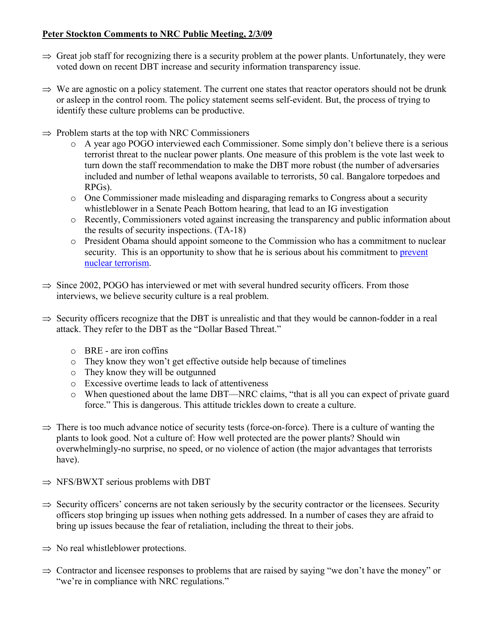## **Peter Stockton Comments to NRC Public Meeting, 2/3/09**

- $\Rightarrow$  Great job staff for recognizing there is a security problem at the power plants. Unfortunately, they were voted down on recent DBT increase and security information transparency issue.
- $\Rightarrow$  We are agnostic on a policy statement. The current one states that reactor operators should not be drunk or asleep in the control room. The policy statement seems self-evident. But, the process of trying to identify these culture problems can be productive.
- $\Rightarrow$  Problem starts at the top with NRC Commissioners
	- o A year ago POGO interviewed each Commissioner. Some simply don't believe there is a serious terrorist threat to the nuclear power plants. One measure of this problem is the vote last week to turn down the staff recommendation to make the DBT more robust (the number of adversaries included and number of lethal weapons available to terrorists, 50 cal. Bangalore torpedoes and RPGs).
	- o One Commissioner made misleading and disparaging remarks to Congress about a security whistleblower in a Senate Peach Bottom hearing, that lead to an IG investigation
	- o Recently, Commissioners voted against increasing the transparency and public information about the results of security inspections. (TA-18)
	- o President Obama should appoint someone to the Commission who has a commitment to nuclear security. This is an opportunity to show that he is serious about his commitment to prevent nuclear terrorism.
- $\Rightarrow$  Since 2002, POGO has interviewed or met with several hundred security officers. From those interviews, we believe security culture is a real problem.
- $\Rightarrow$  Security officers recognize that the DBT is unrealistic and that they would be cannon-fodder in a real attack. They refer to the DBT as the "Dollar Based Threat."
	- o BRE are iron coffins
	- o They know they won't get effective outside help because of timelines
	- o They know they will be outgunned
	- o Excessive overtime leads to lack of attentiveness
	- o When questioned about the lame DBT—NRC claims, "that is all you can expect of private guard force." This is dangerous. This attitude trickles down to create a culture.
- $\Rightarrow$  There is too much advance notice of security tests (force-on-force). There is a culture of wanting the plants to look good. Not a culture of: How well protected are the power plants? Should win overwhelmingly-no surprise, no speed, or no violence of action (the major advantages that terrorists have).
- $\Rightarrow$  NFS/BWXT serious problems with DBT
- $\Rightarrow$  Security officers' concerns are not taken seriously by the security contractor or the licensees. Security officers stop bringing up issues when nothing gets addressed. In a number of cases they are afraid to bring up issues because the fear of retaliation, including the threat to their jobs.
- $\Rightarrow$  No real whistleblower protections.
- $\Rightarrow$  Contractor and licensee responses to problems that are raised by saying "we don't have the money" or "we're in compliance with NRC regulations."